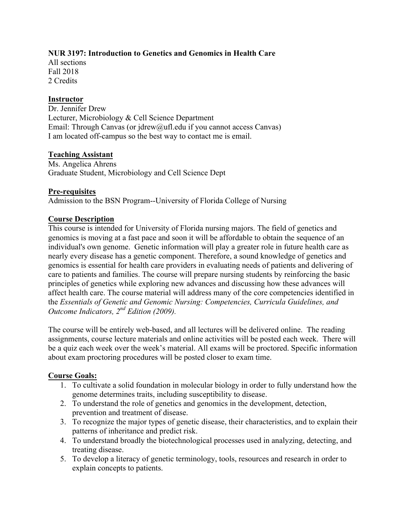# **NUR 3197: Introduction to Genetics and Genomics in Health Care**

All sections Fall 2018 2 Credits

## **Instructor**

Dr. Jennifer Drew Lecturer, Microbiology & Cell Science Department Email: Through Canvas (or jdrew@ufl.edu if you cannot access Canvas) I am located off-campus so the best way to contact me is email.

## **Teaching Assistant**

Ms. Angelica Ahrens Graduate Student, Microbiology and Cell Science Dept

#### **Pre-requisites**

Admission to the BSN Program--University of Florida College of Nursing

## **Course Description**

This course is intended for University of Florida nursing majors. The field of genetics and genomics is moving at a fast pace and soon it will be affordable to obtain the sequence of an individual's own genome. Genetic information will play a greater role in future health care as nearly every disease has a genetic component. Therefore, a sound knowledge of genetics and genomics is essential for health care providers in evaluating needs of patients and delivering of care to patients and families. The course will prepare nursing students by reinforcing the basic principles of genetics while exploring new advances and discussing how these advances will affect health care. The course material will address many of the core competencies identified in the *Essentials of Genetic and Genomic Nursing: Competencies, Curricula Guidelines, and Outcome Indicators, 2nd Edition (2009).*

The course will be entirely web-based, and all lectures will be delivered online. The reading assignments, course lecture materials and online activities will be posted each week. There will be a quiz each week over the week's material. All exams will be proctored. Specific information about exam proctoring procedures will be posted closer to exam time.

#### **Course Goals:**

- 1. To cultivate a solid foundation in molecular biology in order to fully understand how the genome determines traits, including susceptibility to disease.
- 2. To understand the role of genetics and genomics in the development, detection, prevention and treatment of disease.
- 3. To recognize the major types of genetic disease, their characteristics, and to explain their patterns of inheritance and predict risk.
- 4. To understand broadly the biotechnological processes used in analyzing, detecting, and treating disease.
- 5. To develop a literacy of genetic terminology, tools, resources and research in order to explain concepts to patients.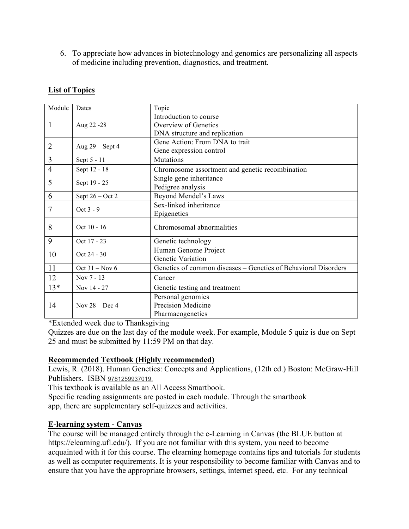6. To appreciate how advances in biotechnology and genomics are personalizing all aspects of medicine including prevention, diagnostics, and treatment.

| Module         | Dates             | Topic                                                          |  |
|----------------|-------------------|----------------------------------------------------------------|--|
|                | Aug 22 - 28       | Introduction to course                                         |  |
| 1              |                   | Overview of Genetics                                           |  |
|                |                   | DNA structure and replication                                  |  |
| $\overline{2}$ | Aug $29$ – Sept 4 | Gene Action: From DNA to trait                                 |  |
|                |                   | Gene expression control                                        |  |
| 3              | Sept 5 - 11       | Mutations                                                      |  |
| $\overline{4}$ | Sept 12 - 18      | Chromosome assortment and genetic recombination                |  |
| 5              | Sept 19 - 25      | Single gene inheritance                                        |  |
|                |                   | Pedigree analysis                                              |  |
| 6              | Sept $26 - Oct 2$ | Beyond Mendel's Laws                                           |  |
| 7              | Oct 3 - 9         | Sex-linked inheritance                                         |  |
|                |                   | Epigenetics                                                    |  |
| 8              | $Oct 10 - 16$     | Chromosomal abnormalities                                      |  |
| 9              | Oct 17 - 23       | Genetic technology                                             |  |
| 10             | Oct 24 - 30       | Human Genome Project                                           |  |
|                |                   | Genetic Variation                                              |  |
| 11             | Oct $31 - Nov 6$  | Genetics of common diseases - Genetics of Behavioral Disorders |  |
| 12             | Nov 7 - 13        | Cancer                                                         |  |
| $13*$          | Nov 14 - 27       | Genetic testing and treatment                                  |  |
|                | Nov $28 - Dec 4$  | Personal genomics                                              |  |
| 14             |                   | Precision Medicine                                             |  |
|                |                   | Pharmacogenetics                                               |  |

# **List of Topics**

\*Extended week due to Thanksgiving

Quizzes are due on the last day of the module week. For example, Module 5 quiz is due on Sept 25 and must be submitted by 11:59 PM on that day.

# **Recommended Textbook (Highly recommended)**

Lewis, R. (2018). Human Genetics: Concepts and Applications, (12th ed.) Boston: McGraw-Hill Publishers. ISBN 9781259937019.

This textbook is available as an All Access Smartbook.

Specific reading assignments are posted in each module. Through the smartbook app, there are supplementary self-quizzes and activities.

# **E-learning system - Canvas**

The course will be managed entirely through the e-Learning in Canvas (the BLUE button at https://elearning.ufl.edu/). If you are not familiar with this system, you need to become acquainted with it for this course. The elearning homepage contains tips and tutorials for students as well as computer requirements. It is your responsibility to become familiar with Canvas and to ensure that you have the appropriate browsers, settings, internet speed, etc. For any technical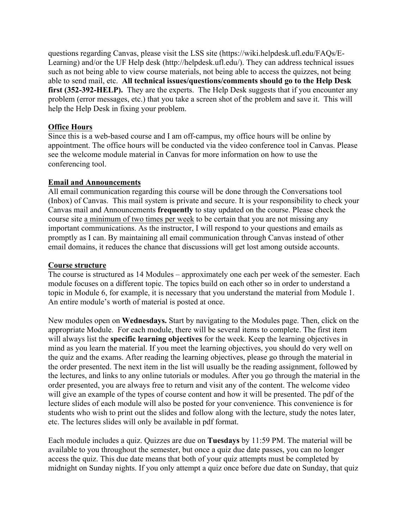questions regarding Canvas, please visit the LSS site (https://wiki.helpdesk.ufl.edu/FAQs/E-Learning) and/or the UF Help desk (http://helpdesk.ufl.edu/). They can address technical issues such as not being able to view course materials, not being able to access the quizzes, not being able to send mail, etc. **All technical issues/questions/comments should go to the Help Desk first (352-392-HELP).** They are the experts. The Help Desk suggests that if you encounter any problem (error messages, etc.) that you take a screen shot of the problem and save it. This will help the Help Desk in fixing your problem.

#### **Office Hours**

Since this is a web-based course and I am off-campus, my office hours will be online by appointment. The office hours will be conducted via the video conference tool in Canvas. Please see the welcome module material in Canvas for more information on how to use the conferencing tool.

#### **Email and Announcements**

All email communication regarding this course will be done through the Conversations tool (Inbox) of Canvas. This mail system is private and secure. It is your responsibility to check your Canvas mail and Announcements **frequently** to stay updated on the course. Please check the course site a minimum of two times per week to be certain that you are not missing any important communications. As the instructor, I will respond to your questions and emails as promptly as I can. By maintaining all email communication through Canvas instead of other email domains, it reduces the chance that discussions will get lost among outside accounts.

#### **Course structure**

The course is structured as 14 Modules – approximately one each per week of the semester. Each module focuses on a different topic. The topics build on each other so in order to understand a topic in Module 6, for example, it is necessary that you understand the material from Module 1. An entire module's worth of material is posted at once.

New modules open on **Wednesdays.** Start by navigating to the Modules page. Then, click on the appropriate Module. For each module, there will be several items to complete. The first item will always list the **specific learning objectives** for the week. Keep the learning objectives in mind as you learn the material. If you meet the learning objectives, you should do very well on the quiz and the exams. After reading the learning objectives, please go through the material in the order presented. The next item in the list will usually be the reading assignment, followed by the lectures, and links to any online tutorials or modules. After you go through the material in the order presented, you are always free to return and visit any of the content. The welcome video will give an example of the types of course content and how it will be presented. The pdf of the lecture slides of each module will also be posted for your convenience. This convenience is for students who wish to print out the slides and follow along with the lecture, study the notes later, etc. The lectures slides will only be available in pdf format.

Each module includes a quiz. Quizzes are due on **Tuesdays** by 11:59 PM. The material will be available to you throughout the semester, but once a quiz due date passes, you can no longer access the quiz. This due date means that both of your quiz attempts must be completed by midnight on Sunday nights. If you only attempt a quiz once before due date on Sunday, that quiz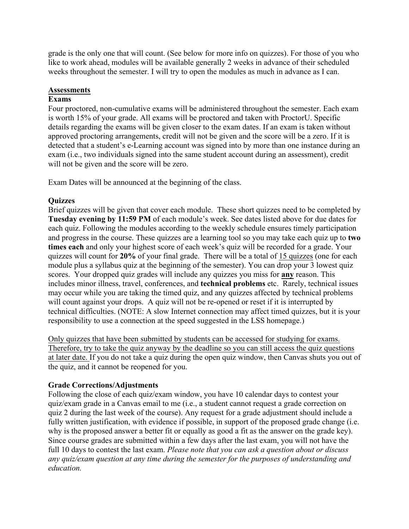grade is the only one that will count. (See below for more info on quizzes). For those of you who like to work ahead, modules will be available generally 2 weeks in advance of their scheduled weeks throughout the semester. I will try to open the modules as much in advance as I can.

### **Assessments**

## **Exams**

Four proctored, non-cumulative exams will be administered throughout the semester. Each exam is worth 15% of your grade. All exams will be proctored and taken with ProctorU. Specific details regarding the exams will be given closer to the exam dates. If an exam is taken without approved proctoring arrangements, credit will not be given and the score will be a zero. If it is detected that a student's e-Learning account was signed into by more than one instance during an exam (i.e., two individuals signed into the same student account during an assessment), credit will not be given and the score will be zero.

Exam Dates will be announced at the beginning of the class.

## **Quizzes**

Brief quizzes will be given that cover each module. These short quizzes need to be completed by **Tuesday evening by 11:59 PM** of each module's week. See dates listed above for due dates for each quiz. Following the modules according to the weekly schedule ensures timely participation and progress in the course. These quizzes are a learning tool so you may take each quiz up to **two times each** and only your highest score of each week's quiz will be recorded for a grade. Your quizzes will count for **20%** of your final grade. There will be a total of 15 quizzes (one for each module plus a syllabus quiz at the beginning of the semester). You can drop your 3 lowest quiz scores. Your dropped quiz grades will include any quizzes you miss for **any** reason. This includes minor illness, travel, conferences, and **technical problems** etc. Rarely, technical issues may occur while you are taking the timed quiz, and any quizzes affected by technical problems will count against your drops. A quiz will not be re-opened or reset if it is interrupted by technical difficulties. (NOTE: A slow Internet connection may affect timed quizzes, but it is your responsibility to use a connection at the speed suggested in the LSS homepage.)

Only quizzes that have been submitted by students can be accessed for studying for exams. Therefore, try to take the quiz anyway by the deadline so you can still access the quiz questions at later date. If you do not take a quiz during the open quiz window, then Canvas shuts you out of the quiz, and it cannot be reopened for you.

#### **Grade Corrections/Adjustments**

Following the close of each quiz/exam window, you have 10 calendar days to contest your quiz/exam grade in a Canvas email to me (i.e., a student cannot request a grade correction on quiz 2 during the last week of the course). Any request for a grade adjustment should include a fully written justification, with evidence if possible, in support of the proposed grade change (i.e. why is the proposed answer a better fit or equally as good a fit as the answer on the grade key). Since course grades are submitted within a few days after the last exam, you will not have the full 10 days to contest the last exam. *Please note that you can ask a question about or discuss any quiz/exam question at any time during the semester for the purposes of understanding and education.*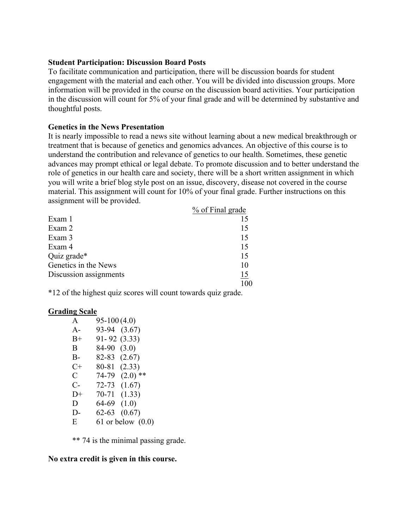#### **Student Participation: Discussion Board Posts**

To facilitate communication and participation, there will be discussion boards for student engagement with the material and each other. You will be divided into discussion groups. More information will be provided in the course on the discussion board activities. Your participation in the discussion will count for 5% of your final grade and will be determined by substantive and thoughtful posts.

#### **Genetics in the News Presentation**

It is nearly impossible to read a news site without learning about a new medical breakthrough or treatment that is because of genetics and genomics advances. An objective of this course is to understand the contribution and relevance of genetics to our health. Sometimes, these genetic advances may prompt ethical or legal debate. To promote discussion and to better understand the role of genetics in our health care and society, there will be a short written assignment in which you will write a brief blog style post on an issue, discovery, disease not covered in the course material. This assignment will count for 10% of your final grade. Further instructions on this assignment will be provided.

|                        | % of Final grade |
|------------------------|------------------|
| Exam 1                 |                  |
| Exam 2                 | 15               |
| Exam 3                 | 15               |
| Exam 4                 | 15               |
| Quiz grade*            | 15               |
| Genetics in the News   | 10               |
| Discussion assignments | 15               |
|                        |                  |

\*12 of the highest quiz scores will count towards quiz grade.

#### **Grading Scale**

| $\mathbf{A}$ | $95-100(4.0)$ |                     |
|--------------|---------------|---------------------|
| $A -$        | 93-94         | (3.67)              |
| $B+$         | 91- 92        | (3.33)              |
| B            | 84-90         | (3.0)               |
| B-           | 82-83         | (2.67)              |
| C+           | 80-81         | (2.33)              |
| C            | 74-79         | $(2.0)$ **          |
| $C-$         | $72 - 73$     | (1.67)              |
| $D+$         | 70-71         | (1.33)              |
| D            | 64-69         | (1.0)               |
| D-           | 62-63         | (0.67)              |
| E            |               | 61 or below $(0.0)$ |

\*\* 74 is the minimal passing grade.

#### **No extra credit is given in this course.**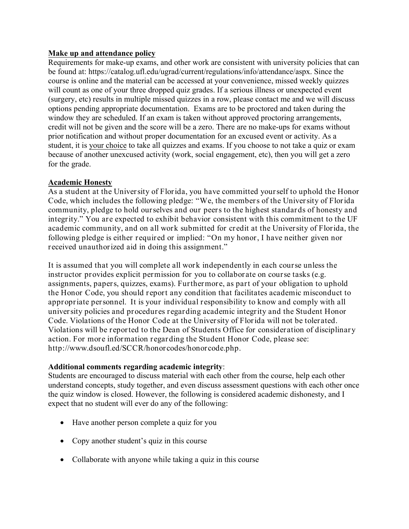# **Make up and attendance policy**

Requirements for make-up exams, and other work are consistent with university policies that can be found at: https://catalog.ufl.edu/ugrad/current/regulations/info/attendance/aspx. Since the course is online and the material can be accessed at your convenience, missed weekly quizzes will count as one of your three dropped quiz grades. If a serious illness or unexpected event (surgery, etc) results in multiple missed quizzes in a row, please contact me and we will discuss options pending appropriate documentation. Exams are to be proctored and taken during the window they are scheduled. If an exam is taken without approved proctoring arrangements, credit will not be given and the score will be a zero. There are no make-ups for exams without prior notification and without proper documentation for an excused event or activity. As a student, it is your choice to take all quizzes and exams. If you choose to not take a quiz or exam because of another unexcused activity (work, social engagement, etc), then you will get a zero for the grade.

# **Academic Honesty**

As a student at the University of Florida, you have committed yourself to uphold the Honor Code, which includes the following pledge: "We, the members of the University of Florida community, pledge to hold ourselves and our peers to the highest standards of honesty and integrity." You are expected to exhibit behavior consistent with this commitment to the UF academic community, and on all work submitted for credit at the University of Florida, the following pledge is either required or implied: "On my honor, I have neither given nor received unauthorized aid in doing this assignment."

It is assumed that you will complete all work independently in each course unless the instructor provides explicit permission for you to collaborate on course tasks (e.g. assignments, papers, quizzes, exams). Furthermore, as part of your obligation to uphold the Honor Code, you should report any condition that facilitates academic misconduct to appropriate personnel. It is your individual responsibility to know and comply with all university policies and procedures regarding academic integrity and the Student Honor Code. Violations of the Honor Code at the University of Florida will not be tolerated. Violations will be reported to the Dean of Students Office for consideration of disciplinary action. For more information regarding the Student Honor Code, please see: http://www.dsoufl.ed/SCCR/honorcodes/honorcode.php.

# **Additional comments regarding academic integrity**:

Students are encouraged to discuss material with each other from the course, help each other understand concepts, study together, and even discuss assessment questions with each other once the quiz window is closed. However, the following is considered academic dishonesty, and I expect that no student will ever do any of the following:

- Have another person complete a quiz for you
- Copy another student's quiz in this course
- Collaborate with anyone while taking a quiz in this course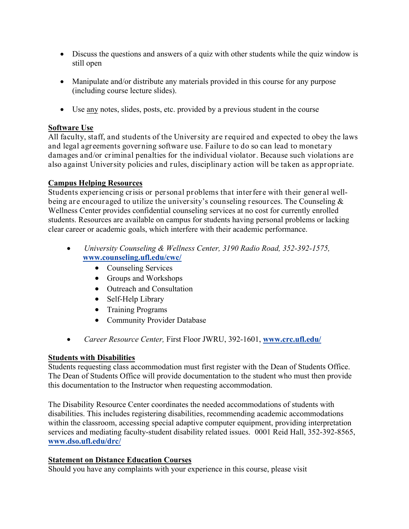- Discuss the questions and answers of a quiz with other students while the quiz window is still open
- Manipulate and/or distribute any materials provided in this course for any purpose (including course lecture slides).
- Use any notes, slides, posts, etc. provided by a previous student in the course

# **Software Use**

All faculty, staff, and students of the University are required and expected to obey the laws and legal agreements governing software use. Failure to do so can lead to monetary damages and/or criminal penalties for the individual violator. Because such violations are also against University policies and rules, disciplinary action will be taken as appropriate.

# **Campus Helping Resources**

Students experiencing crisis or personal problems that interfere with their general wellbeing are encouraged to utilize the university's counseling resources. The Counseling & Wellness Center provides confidential counseling services at no cost for currently enrolled students. Resources are available on campus for students having personal problems or lacking clear career or academic goals, which interfere with their academic performance.

- *University Counseling & Wellness Center, 3190 Radio Road, 352-392-1575,* **www.counseling.ufl.edu/cwc/**
	- Counseling Services
	- Groups and Workshops
	- Outreach and Consultation
	- Self-Help Library
	- Training Programs
	- Community Provider Database
- *Career Resource Center,* First Floor JWRU, 392-1601, **www.crc.ufl.edu/**

# **Students with Disabilities**

Students requesting class accommodation must first register with the Dean of Students Office. The Dean of Students Office will provide documentation to the student who must then provide this documentation to the Instructor when requesting accommodation.

The Disability Resource Center coordinates the needed accommodations of students with disabilities. This includes registering disabilities, recommending academic accommodations within the classroom, accessing special adaptive computer equipment, providing interpretation services and mediating faculty-student disability related issues. 0001 Reid Hall, 352-392-8565, **www.dso.ufl.edu/drc/**

# **Statement on Distance Education Courses**

Should you have any complaints with your experience in this course, please visit